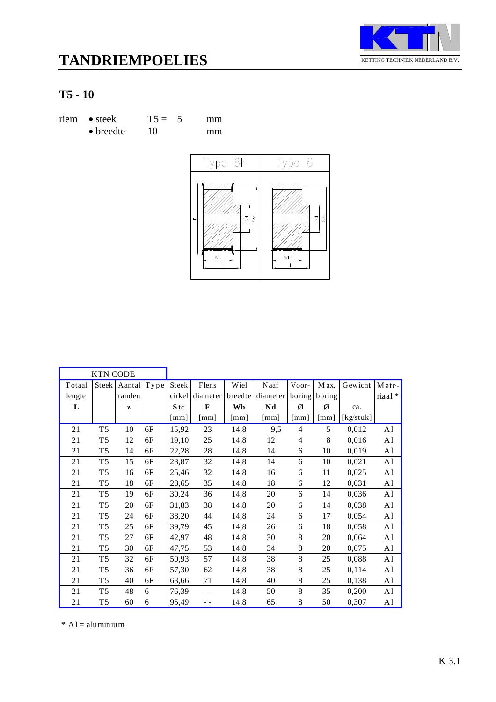



## **T5 - 10**

| $riem \bullet steek$ | $T5 = 5$ | mm |
|----------------------|----------|----|
| $\bullet$ breedte    | 10       | mm |



|        | <b>KTN CODE</b> |        |      |                      |              |         |                        |                |        |           |                |
|--------|-----------------|--------|------|----------------------|--------------|---------|------------------------|----------------|--------|-----------|----------------|
| Totaal | Steek           | Aantal | Type | Steek                | Flens        | Wiel    | Naaf                   | Voor-          | M ax.  | Gewicht   | Mate-          |
| lengte |                 | tanden |      | cirkel               | diameter     | breedte | diameter               | boring         | boring |           | riaal*         |
| L      |                 | z      |      | S <sub>tc</sub>      | $\mathbf{F}$ | Wb      | $\mathbf{N}\mathbf{d}$ | Ø              | Ø      | ca.       |                |
|        |                 |        |      | $\lceil$ mm $\rceil$ | [mm]         | [mm]    | $\lceil$ mm $\rceil$   | [mm]           | [mm]   | [kg/stuk] |                |
| 21     | T <sub>5</sub>  | 10     | 6F   | 15,92                | 23           | 14,8    | 9,5                    | $\overline{4}$ | 5      | 0,012     | A <sub>1</sub> |
| 21     | T <sub>5</sub>  | 12     | 6F   | 19,10                | 25           | 14,8    | 12                     | 4              | 8      | 0,016     | A <sub>1</sub> |
| 21     | T <sub>5</sub>  | 14     | 6F   | 22,28                | 28           | 14,8    | 14                     | 6              | 10     | 0,019     | A <sub>1</sub> |
| 21     | T <sub>5</sub>  | 15     | 6F   | 23,87                | 32           | 14,8    | 14                     | 6              | 10     | 0,021     | A <sub>1</sub> |
| 21     | T <sub>5</sub>  | 16     | 6F   | 25,46                | 32           | 14,8    | 16                     | 6              | 11     | 0,025     | A <sub>1</sub> |
| 21     | T <sub>5</sub>  | 18     | 6F   | 28,65                | 35           | 14,8    | 18                     | 6              | 12     | 0,031     | A <sub>1</sub> |
| 21     | T <sub>5</sub>  | 19     | 6F   | 30,24                | 36           | 14,8    | 20                     | 6              | 14     | 0,036     | A <sub>1</sub> |
| 21     | T <sub>5</sub>  | 20     | 6F   | 31,83                | 38           | 14,8    | 20                     | 6              | 14     | 0,038     | A <sub>1</sub> |
| 21     | T <sub>5</sub>  | 24     | 6F   | 38,20                | 44           | 14,8    | 24                     | 6              | 17     | 0,054     | A <sub>1</sub> |
| 21     | T <sub>5</sub>  | 25     | 6F   | 39,79                | 45           | 14,8    | 26                     | 6              | 18     | 0,058     | A <sub>1</sub> |
| 21     | T <sub>5</sub>  | 27     | 6F   | 42,97                | 48           | 14,8    | 30                     | $8\,$          | 20     | 0,064     | A <sub>1</sub> |
| 21     | T <sub>5</sub>  | 30     | 6F   | 47,75                | 53           | 14,8    | 34                     | 8              | 20     | 0,075     | A <sub>1</sub> |
| 21     | T <sub>5</sub>  | 32     | 6F   | 50,93                | 57           | 14,8    | 38                     | 8              | 25     | 0,088     | A <sub>1</sub> |
| 21     | T <sub>5</sub>  | 36     | 6F   | 57,30                | 62           | 14,8    | 38                     | $8\,$          | 25     | 0,114     | A <sub>1</sub> |
| 21     | T <sub>5</sub>  | 40     | 6F   | 63,66                | 71           | 14,8    | 40                     | 8              | 25     | 0,138     | A <sub>1</sub> |
| 21     | T <sub>5</sub>  | 48     | 6    | 76,39                | $ -$         | 14,8    | 50                     | 8              | 35     | 0,200     | A <sub>1</sub> |
| 21     | T <sub>5</sub>  | 60     | 6    | 95,49                | - -          | 14,8    | 65                     | 8              | 50     | 0,307     | A <sub>1</sub> |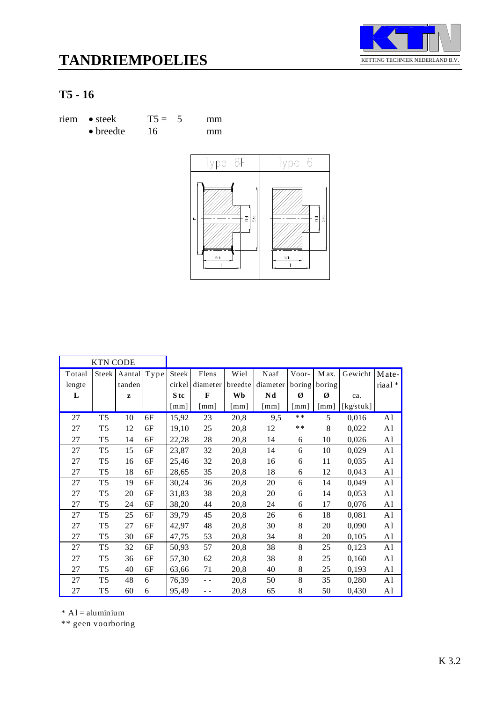



## **T5 - 16**

| riem • steek      | $T5 = 5$ | mm |
|-------------------|----------|----|
| $\bullet$ breedte | 16       | mm |



|        | <b>KTN CODE</b> |              |      |                    |              |                      |          |                      |                      |           |                |
|--------|-----------------|--------------|------|--------------------|--------------|----------------------|----------|----------------------|----------------------|-----------|----------------|
| Totaal |                 | Steek Aantal | Type | Steek              | Flens        | Wiel                 | Naaf     | Voor-                | M ax.                | Gewicht   | Mate-          |
| lengte |                 | tanden       |      | cirkel             | diameter     | breedte              | diameter | boring               | boring               |           | riaal *        |
| L      |                 | Z            |      | S tc               | $\mathbf{F}$ | Wb                   | Nd       | Ø                    | Ø                    | ca.       |                |
|        |                 |              |      | $\lceil mm \rceil$ | [mm]         | $\lceil$ mm $\rceil$ | [mm]     | $\lceil$ mm $\rceil$ | $\lceil$ mm $\rceil$ | [kg/stuk] |                |
| 27     | T <sub>5</sub>  | 10           | 6F   | 15,92              | 23           | 20,8                 | 9,5      | $**$                 | 5                    | 0,016     | A1             |
| 27     | T <sub>5</sub>  | 12           | 6F   | 19,10              | 25           | 20,8                 | 12       | $**$                 | 8                    | 0,022     | A <sub>1</sub> |
| 27     | T <sub>5</sub>  | 14           | 6F   | 22,28              | 28           | 20,8                 | 14       | 6                    | 10                   | 0,026     | A <sub>1</sub> |
| 27     | T <sub>5</sub>  | 15           | 6F   | 23,87              | 32           | 20,8                 | 14       | 6                    | 10                   | 0,029     | A <sub>1</sub> |
| 27     | T <sub>5</sub>  | 16           | 6F   | 25,46              | 32           | 20,8                 | 16       | 6                    | 11                   | 0,035     | A1             |
| 27     | T <sub>5</sub>  | 18           | 6F   | 28,65              | 35           | 20,8                 | 18       | 6                    | 12                   | 0,043     | A <sub>1</sub> |
| 27     | T <sub>5</sub>  | 19           | 6F   | 30,24              | 36           | 20,8                 | 20       | 6                    | 14                   | 0,049     | A1             |
| 27     | T <sub>5</sub>  | 20           | 6F   | 31,83              | 38           | 20,8                 | 20       | 6                    | 14                   | 0,053     | A1             |
| 27     | T <sub>5</sub>  | 24           | 6F   | 38,20              | 44           | 20,8                 | 24       | 6                    | 17                   | 0,076     | A <sub>1</sub> |
| 27     | T <sub>5</sub>  | 25           | 6F   | 39,79              | 45           | 20,8                 | 26       | 6                    | 18                   | 0,081     | A <sub>1</sub> |
| 27     | T <sub>5</sub>  | 27           | 6F   | 42,97              | 48           | 20,8                 | 30       | 8                    | 20                   | 0,090     | A1             |
| 27     | T <sub>5</sub>  | 30           | 6F   | 47,75              | 53           | 20,8                 | 34       | 8                    | 20                   | 0,105     | A <sub>1</sub> |
| 27     | T <sub>5</sub>  | 32           | 6F   | 50,93              | 57           | 20,8                 | 38       | 8                    | 25                   | 0,123     | A <sub>1</sub> |
| 27     | T <sub>5</sub>  | 36           | 6F   | 57,30              | 62           | 20,8                 | 38       | 8                    | 25                   | 0,160     | A1             |
| 27     | T <sub>5</sub>  | 40           | 6F   | 63,66              | 71           | 20,8                 | 40       | 8                    | 25                   | 0,193     | A <sub>1</sub> |
| 27     | T <sub>5</sub>  | 48           | 6    | 76,39              | - -          | 20,8                 | 50       | 8                    | 35                   | 0,280     | A1             |
| 27     | T <sub>5</sub>  | 60           | 6    | 95,49              | - -          | 20,8                 | 65       | 8                    | 50                   | 0,430     | A <sub>1</sub> |

 $*$  A l = aluminium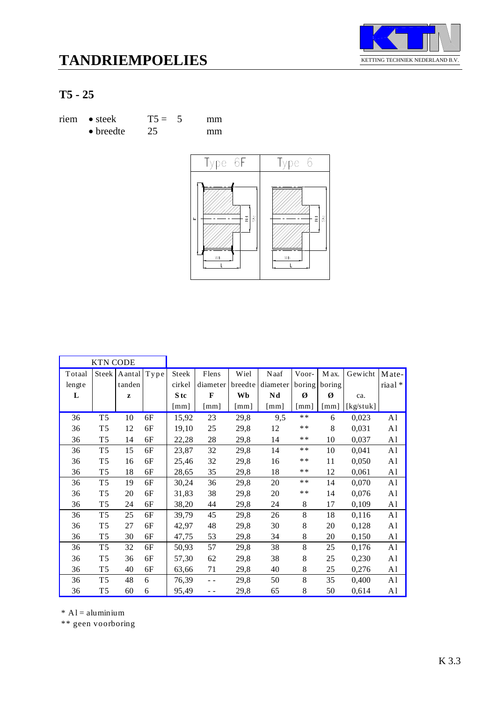



## **T5 - 25**

| riem • steek      | $T5 = 5$ | mm |
|-------------------|----------|----|
| $\bullet$ breedte | 25       | mm |



|        | <b>KTN CODE</b> |        |              |                      |                      |                      |                      |                      |                      |           |                |
|--------|-----------------|--------|--------------|----------------------|----------------------|----------------------|----------------------|----------------------|----------------------|-----------|----------------|
| Totaal | <b>Steek</b>    | Aantal | ${\bf Type}$ | Steek                | Flens                | Wiel                 | Naaf                 | Voor-                | M ax.                | Gewicht   | Mate-          |
| lengte |                 | tanden |              | cirkel               | diameter             | breedte              | diameter             | boring               | boring               |           | riaal *        |
| L      |                 | z      |              | S tc                 | $\mathbf{F}$         | Wb                   | Nd                   | Ø                    | Ø                    | ca.       |                |
|        |                 |        |              | $\lceil$ mm $\rceil$ | $\lceil$ mm $\rceil$ | $\lceil$ mm $\rceil$ | $\lceil$ mm $\rceil$ | $\lceil$ mm $\rceil$ | $\lceil$ mm $\rceil$ | [kg/stuk] |                |
| 36     | T <sub>5</sub>  | 10     | 6F           | 15,92                | 23                   | 29,8                 | 9,5                  | $**$                 | 6                    | 0,023     | A <sub>1</sub> |
| 36     | T <sub>5</sub>  | 12     | 6F           | 19,10                | 25                   | 29,8                 | 12                   | $**$                 | 8                    | 0,031     | A1             |
| 36     | T <sub>5</sub>  | 14     | 6F           | 22,28                | 28                   | 29,8                 | 14                   | $**$                 | 10                   | 0,037     | A <sub>1</sub> |
| 36     | T <sub>5</sub>  | 15     | 6F           | 23,87                | 32                   | 29,8                 | 14                   | $**$                 | 10                   | 0,041     | A <sub>1</sub> |
| 36     | T <sub>5</sub>  | 16     | 6F           | 25,46                | 32                   | 29,8                 | 16                   | $***$                | 11                   | 0,050     | A <sub>1</sub> |
| 36     | T <sub>5</sub>  | 18     | 6F           | 28,65                | 35                   | 29,8                 | 18                   | $**$                 | 12                   | 0,061     | A <sub>1</sub> |
| 36     | T <sub>5</sub>  | 19     | 6F           | 30,24                | 36                   | 29,8                 | 20                   | $**$                 | 14                   | 0,070     | A <sub>1</sub> |
| 36     | T <sub>5</sub>  | 20     | 6F           | 31,83                | 38                   | 29,8                 | 20                   | $***$                | 14                   | 0,076     | A <sub>1</sub> |
| 36     | T <sub>5</sub>  | 24     | 6F           | 38,20                | 44                   | 29,8                 | 24                   | 8                    | 17                   | 0,109     | A <sub>1</sub> |
| 36     | T <sub>5</sub>  | 25     | 6F           | 39,79                | 45                   | 29,8                 | 26                   | 8                    | 18                   | 0,116     | A <sub>1</sub> |
| 36     | T <sub>5</sub>  | 27     | 6F           | 42,97                | 48                   | 29,8                 | 30                   | 8                    | 20                   | 0,128     | A <sub>1</sub> |
| 36     | T <sub>5</sub>  | 30     | 6F           | 47,75                | 53                   | 29,8                 | 34                   | 8                    | 20                   | 0,150     | A1             |
| 36     | T <sub>5</sub>  | 32     | 6F           | 50,93                | 57                   | 29,8                 | 38                   | 8                    | 25                   | 0,176     | A1             |
| 36     | T <sub>5</sub>  | 36     | 6F           | 57,30                | 62                   | 29,8                 | 38                   | 8                    | 25                   | 0,230     | A <sub>1</sub> |
| 36     | T <sub>5</sub>  | 40     | 6F           | 63,66                | 71                   | 29,8                 | 40                   | 8                    | 25                   | 0,276     | A1             |
| 36     | T <sub>5</sub>  | 48     | 6            | 76,39                | $ -$                 | 29,8                 | 50                   | 8                    | 35                   | 0,400     | A1             |
| 36     | T <sub>5</sub>  | 60     | 6            | 95,49                | - -                  | 29,8                 | 65                   | 8                    | 50                   | 0,614     | A <sub>1</sub> |

 $*$  A l = aluminium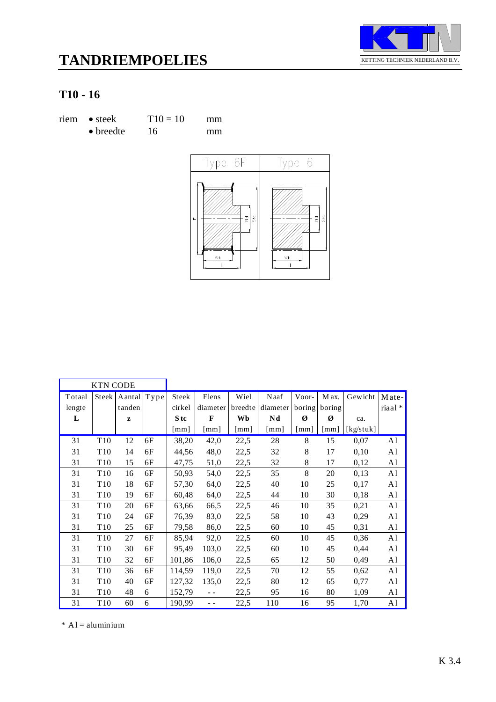



| riem • steek      | $T10 = 10$ | mm |
|-------------------|------------|----|
| $\bullet$ breedte | 16         | mm |



|        | <b>KTN CODE</b> |        |      |                      |                      |                      |                      |        |        |           |                |
|--------|-----------------|--------|------|----------------------|----------------------|----------------------|----------------------|--------|--------|-----------|----------------|
| Totaal | <b>Steek</b>    | Aantal | Type | Steek                | Flens                | Wiel                 | Naaf                 | Voor-  | M ax.  | Gewicht   | Mate-          |
| lengte |                 | tanden |      | cirkel               | diameter             | breedte              | diameter             | boring | boring |           | riaal*         |
| L      |                 | z      |      | S tc                 | $\mathbf{F}$         | Wb                   | Nd                   | Ø      | Ø      | ca.       |                |
|        |                 |        |      | $\lceil$ mm $\rceil$ | $\lceil$ mm $\rceil$ | $\lceil$ mm $\rceil$ | $\lceil$ mm $\rceil$ | [mm]   | [mm]   | [kg/stuk] |                |
| 31     | T <sub>10</sub> | 12     | 6F   | 38,20                | 42,0                 | 22,5                 | 28                   | 8      | 15     | 0,07      | A1             |
| 31     | T <sub>10</sub> | 14     | 6F   | 44,56                | 48,0                 | 22,5                 | 32                   | 8      | 17     | 0,10      | A1             |
| 31     | T <sub>10</sub> | 15     | 6F   | 47,75                | 51,0                 | 22,5                 | 32                   | 8      | 17     | 0,12      | A <sub>1</sub> |
| 31     | T <sub>10</sub> | 16     | 6F   | 50,93                | 54,0                 | 22,5                 | 35                   | 8      | 20     | 0,13      | A1             |
| 31     | T <sub>10</sub> | 18     | 6F   | 57,30                | 64,0                 | 22,5                 | 40                   | 10     | 25     | 0,17      | A <sub>1</sub> |
| 31     | T <sub>10</sub> | 19     | 6F   | 60,48                | 64,0                 | 22,5                 | 44                   | 10     | 30     | 0,18      | A1             |
| 31     | T <sub>10</sub> | 20     | 6F   | 63,66                | 66,5                 | 22,5                 | 46                   | 10     | 35     | 0,21      | A <sub>1</sub> |
| 31     | T <sub>10</sub> | 24     | 6F   | 76,39                | 83,0                 | 22,5                 | 58                   | 10     | 43     | 0,29      | A <sub>1</sub> |
| 31     | T <sub>10</sub> | 25     | 6F   | 79,58                | 86,0                 | 22,5                 | 60                   | 10     | 45     | 0,31      | A1             |
| 31     | T <sub>10</sub> | 27     | 6F   | 85,94                | 92,0                 | 22,5                 | 60                   | 10     | 45     | 0,36      | A1             |
| 31     | T <sub>10</sub> | 30     | 6F   | 95,49                | 103,0                | 22,5                 | 60                   | 10     | 45     | 0,44      | A <sub>1</sub> |
| 31     | T <sub>10</sub> | 32     | 6F   | 101,86               | 106,0                | 22,5                 | 65                   | 12     | 50     | 0,49      | A <sub>1</sub> |
| 31     | T <sub>10</sub> | 36     | 6F   | 114,59               | 119,0                | 22,5                 | 70                   | 12     | 55     | 0,62      | A1             |
| 31     | T <sub>10</sub> | 40     | 6F   | 127,32               | 135,0                | 22,5                 | 80                   | 12     | 65     | 0,77      | A1             |
| 31     | T <sub>10</sub> | 48     | 6    | 152,79               |                      | 22,5                 | 95                   | 16     | 80     | 1,09      | A1             |
| 31     | T <sub>10</sub> | 60     | 6    | 190,99               | $=$ $-$              | 22,5                 | 110                  | 16     | 95     | 1,70      | A1             |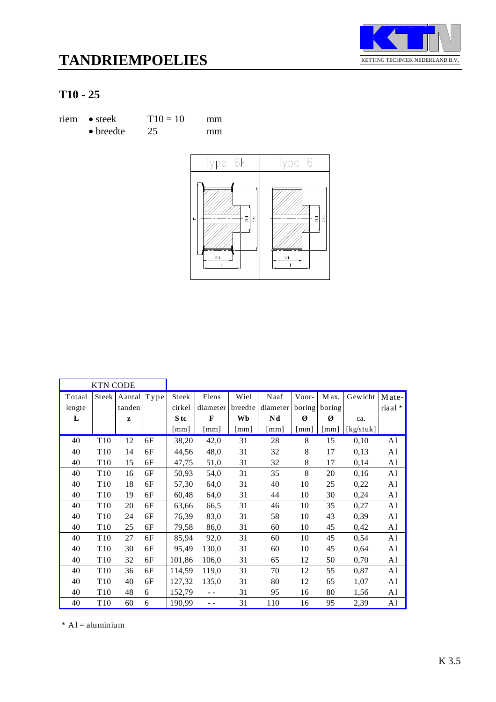



| riem • steek      | $T10 = 10$ | mm |
|-------------------|------------|----|
| $\bullet$ breedte | 25         | mm |



|        | <b>KTN CODE</b> |        |      |                      |                      |                      |              |        |        |           |                |
|--------|-----------------|--------|------|----------------------|----------------------|----------------------|--------------|--------|--------|-----------|----------------|
| Totaal | <b>Steek</b>    | Aantal | Type | Steek                | Flens                | Wiel                 | Naaf         | Voor-  | M ax.  | Gewicht   | Mate-          |
| lengte |                 | tanden |      | cirkel               | diameter             | breedte              | diameter     | boring | boring |           | riaal*         |
| L      |                 | z      |      | S tc                 | $\mathbf{F}$         | Wb                   | Nd           | Ø      | Ø      | ca.       |                |
|        |                 |        |      | $\lceil$ mm $\rceil$ | $\lceil$ mm $\rceil$ | $\lceil$ mm $\rceil$ | $\lceil$ mm] | [mm]   | [mm]   | [kg/stuk] |                |
| 40     | T <sub>10</sub> | 12     | 6F   | 38,20                | 42,0                 | 31                   | 28           | 8      | 15     | 0,10      | A1             |
| 40     | T <sub>10</sub> | 14     | 6F   | 44,56                | 48,0                 | 31                   | 32           | 8      | 17     | 0,13      | A1             |
| 40     | T <sub>10</sub> | 15     | 6F   | 47,75                | 51,0                 | 31                   | 32           | 8      | 17     | 0,14      | A <sub>1</sub> |
| 40     | T <sub>10</sub> | 16     | 6F   | 50,93                | 54,0                 | 31                   | 35           | 8      | 20     | 0,16      | A1             |
| 40     | T <sub>10</sub> | 18     | 6F   | 57,30                | 64,0                 | 31                   | 40           | 10     | 25     | 0,22      | A1             |
| 40     | T <sub>10</sub> | 19     | 6F   | 60,48                | 64,0                 | 31                   | 44           | 10     | 30     | 0,24      | A1             |
| 40     | T <sub>10</sub> | 20     | 6F   | 63,66                | 66,5                 | 31                   | 46           | 10     | 35     | 0,27      | A <sub>1</sub> |
| 40     | T <sub>10</sub> | 24     | 6F   | 76,39                | 83,0                 | 31                   | 58           | 10     | 43     | 0,39      | A1             |
| 40     | T <sub>10</sub> | 25     | 6F   | 79,58                | 86,0                 | 31                   | 60           | 10     | 45     | 0,42      | A1             |
| 40     | T <sub>10</sub> | 27     | 6F   | 85,94                | 92,0                 | 31                   | 60           | 10     | 45     | 0,54      | A1             |
| 40     | T <sub>10</sub> | 30     | 6F   | 95,49                | 130,0                | 31                   | 60           | 10     | 45     | 0,64      | A1             |
| 40     | T <sub>10</sub> | 32     | 6F   | 101,86               | 106,0                | 31                   | 65           | 12     | 50     | 0,70      | A1             |
| 40     | T <sub>10</sub> | 36     | 6F   | 114,59               | 119,0                | 31                   | 70           | 12     | 55     | 0,87      | A1             |
| 40     | T <sub>10</sub> | 40     | 6F   | 127,32               | 135,0                | 31                   | 80           | 12     | 65     | 1,07      | A1             |
| 40     | T <sub>10</sub> | 48     | 6    | 152,79               |                      | 31                   | 95           | 16     | 80     | 1,56      | A <sub>1</sub> |
| 40     | T <sub>10</sub> | 60     | 6    | 190,99               |                      | 31                   | 110          | 16     | 95     | 2,39      | A1             |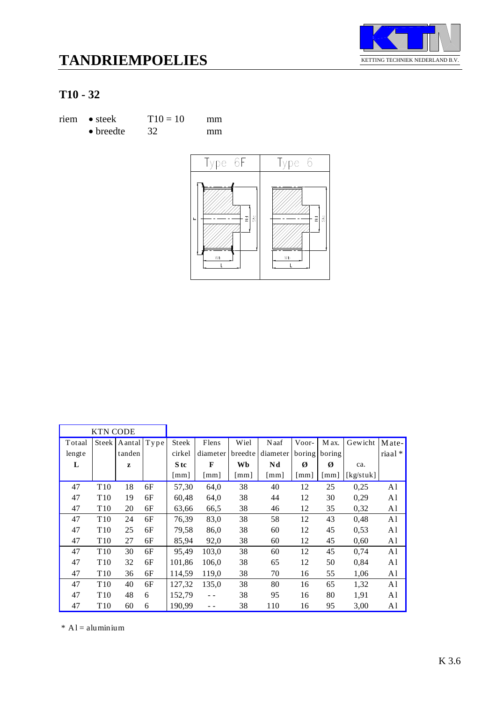



| riem • steek      | $T10 = 10$ | mm |
|-------------------|------------|----|
| $\bullet$ breedte | 32         | mm |



|        | <b>KTN CODE</b> |             |    |                           |                      |                      |          |        |                    |           |                |
|--------|-----------------|-------------|----|---------------------------|----------------------|----------------------|----------|--------|--------------------|-----------|----------------|
| Totaal | Steek           | Aantal Type |    | Steek                     | Flens                | Wiel                 | Naaf     | Voor-  | M ax.              | Gewicht   | Mate-          |
| lengte |                 | tanden      |    | cirkel                    | diameter             | breedte              | diameter | boring | boring             |           | $riaal*$       |
| L      |                 | z           |    | S tc                      | F                    | Wb                   | Nd       | Ø      | Ø                  | ca.       |                |
|        |                 |             |    | $\lceil \text{mm} \rceil$ | $\lceil$ mm $\rceil$ | $\lceil$ mm $\rceil$ | [mm]     | [mm]   | $\lceil mm \rceil$ | [kg/stuk] |                |
| 47     | T <sub>10</sub> | 18          | 6F | 57,30                     | 64,0                 | 38                   | 40       | 12     | 25                 | 0,25      | A1             |
| 47     | T <sub>10</sub> | 19          | 6F | 60,48                     | 64,0                 | 38                   | 44       | 12     | 30                 | 0,29      | A1             |
| 47     | T <sub>10</sub> | 20          | 6F | 63,66                     | 66,5                 | 38                   | 46       | 12     | 35                 | 0,32      | A <sub>1</sub> |
| 47     | T <sub>10</sub> | 24          | 6F | 76,39                     | 83,0                 | 38                   | 58       | 12     | 43                 | 0,48      | A1             |
| 47     | T <sub>10</sub> | 25          | 6F | 79,58                     | 86,0                 | 38                   | 60       | 12     | 45                 | 0.53      | A1             |
| 47     | T <sub>10</sub> | 27          | 6F | 85,94                     | 92,0                 | 38                   | 60       | 12     | 45                 | 0.60      | A1             |
| 47     | T <sub>10</sub> | 30          | 6F | 95,49                     | 103,0                | 38                   | 60       | 12     | 45                 | 0,74      | A1             |
| 47     | T <sub>10</sub> | 32          | 6F | 101,86                    | 106.0                | 38                   | 65       | 12     | 50                 | 0,84      | A1             |
| 47     | T <sub>10</sub> | 36          | 6F | 114,59                    | 119,0                | 38                   | 70       | 16     | 55                 | 1,06      | A <sub>1</sub> |
| 47     | T <sub>10</sub> | 40          | 6F | 127,32                    | 135,0                | 38                   | 80       | 16     | 65                 | 1,32      | A1             |
| 47     | T <sub>10</sub> | 48          | 6  | 152,79                    |                      | 38                   | 95       | 16     | 80                 | 1,91      | A1             |
| 47     | T <sub>10</sub> | 60          | 6  | 190,99                    |                      | 38                   | 110      | 16     | 95                 | 3,00      | A1             |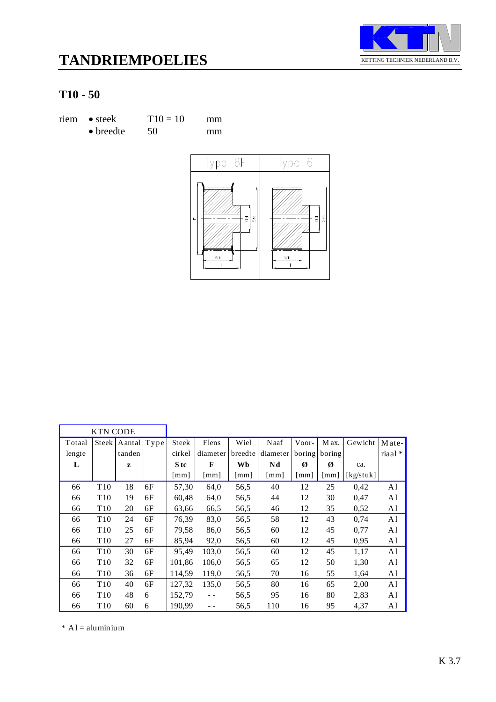



| riem • steek      | $T10 = 10$ | mm |
|-------------------|------------|----|
| $\bullet$ breedte | 50         | mm |



|        | <b>KTN CODE</b> |             |    |        |                      |                      |          |                    |                    |           |        |
|--------|-----------------|-------------|----|--------|----------------------|----------------------|----------|--------------------|--------------------|-----------|--------|
| Totaal | Steek           | Aantal Type |    | Steek  | Flens                | Wiel                 | Naaf     | Voor-              | M ax.              | Gewicht   | Mate-  |
| lengte |                 | tanden      |    | cirkel | diameter             | breedte              | diameter | boring             | boring             |           | riaal* |
| L      |                 | z           |    | S tc   | $\mathbf{F}$         | Wb                   | Nd       | Ø                  | Ø                  | ca.       |        |
|        |                 |             |    | [mm]   | $\lceil$ mm $\rceil$ | $\lceil$ mm $\rceil$ | [mm]     | $\lceil mm \rceil$ | $\lceil mm \rceil$ | [kg/stuk] |        |
| 66     | T <sub>10</sub> | 18          | 6F | 57,30  | 64,0                 | 56,5                 | 40       | 12                 | 25                 | 0,42      | A1     |
| 66     | T <sub>10</sub> | 19          | 6F | 60,48  | 64,0                 | 56,5                 | 44       | 12                 | 30                 | 0,47      | A1     |
| 66     | T <sub>10</sub> | 20          | 6F | 63,66  | 66,5                 | 56,5                 | 46       | 12                 | 35                 | 0,52      | A1     |
| 66     | T <sub>10</sub> | 24          | 6F | 76,39  | 83,0                 | 56,5                 | 58       | 12                 | 43                 | 0,74      | A1     |
| 66     | T <sub>10</sub> | 25          | 6F | 79,58  | 86,0                 | 56,5                 | 60       | 12                 | 45                 | 0,77      | A1     |
| 66     | T <sub>10</sub> | 27          | 6F | 85,94  | 92,0                 | 56,5                 | 60       | 12                 | 45                 | 0,95      | A1     |
| 66     | T <sub>10</sub> | 30          | 6F | 95,49  | 103,0                | 56,5                 | 60       | 12                 | 45                 | 1,17      | A1     |
| 66     | T <sub>10</sub> | 32          | 6F | 101,86 | 106.0                | 56,5                 | 65       | 12                 | 50                 | 1,30      | A1     |
| 66     | T <sub>10</sub> | 36          | 6F | 114,59 | 119,0                | 56,5                 | 70       | 16                 | 55                 | 1,64      | A1     |
| 66     | T <sub>10</sub> | 40          | 6F | 127,32 | 135,0                | 56,5                 | 80       | 16                 | 65                 | 2,00      | A1     |
| 66     | T <sub>10</sub> | 48          | 6  | 152,79 | $\sim$ $\sim$        | 56,5                 | 95       | 16                 | 80                 | 2,83      | A1     |
| 66     | T <sub>10</sub> | 60          | 6  | 190,99 |                      | 56,5                 | 110      | 16                 | 95                 | 4,37      | A1     |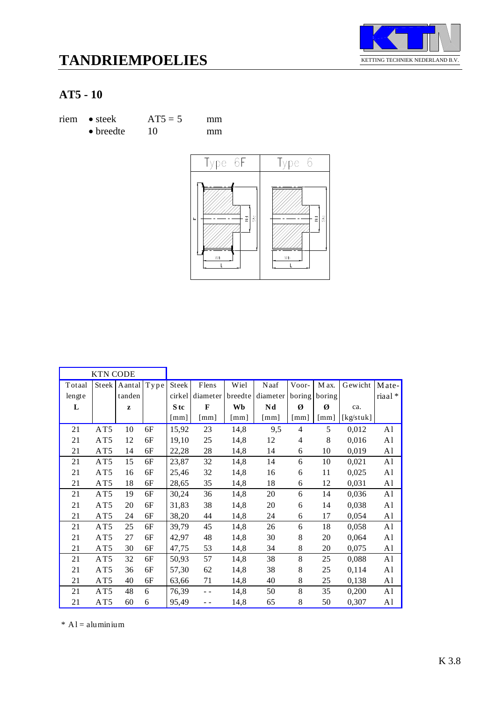



# **AT5 - 10**

| riem • steek      | $AT5 = 5$ | mm |
|-------------------|-----------|----|
| $\bullet$ breedte | 10        | mm |



|        | <b>KTN CODE</b> |        |      |                 |                      |                           |                      |                      |        |           |                |
|--------|-----------------|--------|------|-----------------|----------------------|---------------------------|----------------------|----------------------|--------|-----------|----------------|
| Totaal | Steek           | Aantal | Type | Steek           | Flens                | Wiel                      | Naaf                 | Voor-                | M ax.  | Gewicht   | Mate-          |
| lengte |                 | tanden |      | cirkel          | diameter             | breedte                   | diameter             | boring               | boring |           | riaal*         |
| L      |                 | z      |      | S <sub>tc</sub> | $\mathbf{F}$         | Wb                        | Nd                   | Ø                    | Ø      | ca.       |                |
|        |                 |        |      | [mm]            | $\lceil$ mm $\rceil$ | $\lceil \text{mm} \rceil$ | $\lceil$ mm $\rceil$ | $\lceil$ mm $\rceil$ | [mm]   | [kg/stuk] |                |
| 21     | AT5             | 10     | 6F   | 15,92           | 23                   | 14,8                      | 9,5                  | $\overline{4}$       | 5      | 0,012     | A <sub>1</sub> |
| 21     | AT5             | 12     | 6F   | 19,10           | 25                   | 14,8                      | 12                   | 4                    | 8      | 0,016     | A <sub>1</sub> |
| 21     | AT5             | 14     | 6F   | 22,28           | 28                   | 14,8                      | 14                   | 6                    | 10     | 0,019     | A <sub>1</sub> |
| 21     | AT5             | 15     | 6F   | 23,87           | 32                   | 14,8                      | 14                   | 6                    | 10     | 0,021     | A <sub>1</sub> |
| 21     | AT5             | 16     | 6F   | 25,46           | 32                   | 14,8                      | 16                   | 6                    | 11     | 0,025     | A <sub>1</sub> |
| 21     | AT5             | 18     | 6F   | 28,65           | 35                   | 14,8                      | 18                   | 6                    | 12     | 0,031     | A <sub>1</sub> |
| 21     | AT5             | 19     | 6F   | 30,24           | 36                   | 14,8                      | 20                   | 6                    | 14     | 0,036     | A <sub>1</sub> |
| 21     | AT5             | 20     | 6F   | 31,83           | 38                   | 14,8                      | 20                   | 6                    | 14     | 0,038     | A <sub>1</sub> |
| 21     | AT5             | 24     | 6F   | 38,20           | 44                   | 14,8                      | 24                   | 6                    | 17     | 0,054     | A <sub>1</sub> |
| 21     | AT5             | 25     | 6F   | 39,79           | 45                   | 14,8                      | 26                   | 6                    | 18     | 0,058     | A <sub>1</sub> |
| 21     | AT5             | 27     | 6F   | 42,97           | 48                   | 14,8                      | 30                   | 8                    | 20     | 0,064     | A <sub>1</sub> |
| 21     | AT5             | 30     | 6F   | 47,75           | 53                   | 14,8                      | 34                   | 8                    | 20     | 0,075     | A <sub>1</sub> |
| 21     | AT5             | 32     | 6F   | 50,93           | 57                   | 14,8                      | 38                   | 8                    | 25     | 0,088     | A <sub>1</sub> |
| 21     | AT5             | 36     | 6F   | 57,30           | 62                   | 14,8                      | 38                   | 8                    | 25     | 0,114     | A <sub>1</sub> |
| 21     | AT5             | 40     | 6F   | 63,66           | 71                   | 14,8                      | 40                   | 8                    | 25     | 0,138     | A <sub>1</sub> |
| 21     | AT5             | 48     | 6    | 76,39           | - -                  | 14,8                      | 50                   | 8                    | 35     | 0,200     | A <sub>1</sub> |
| 21     | AT5             | 60     | 6    | 95,49           | - -                  | 14,8                      | 65                   | 8                    | 50     | 0,307     | A <sub>1</sub> |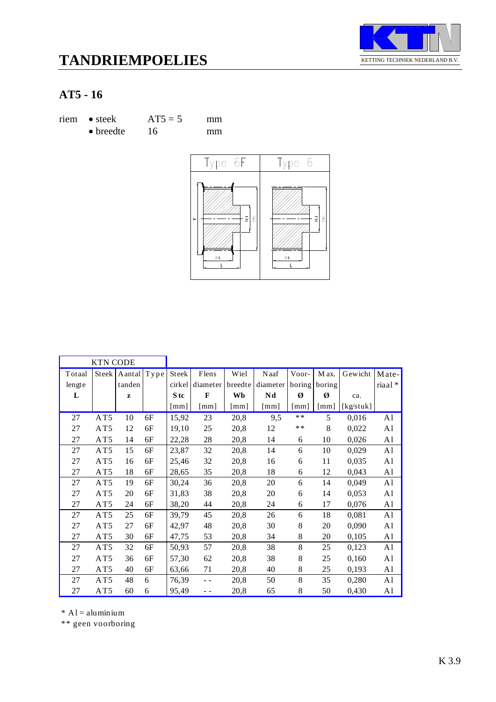



## **AT5 - 16**

| riem • steek      | $AT5 = 5$ | mm |
|-------------------|-----------|----|
| $\bullet$ breedte | 16        | mm |



|        | <b>KTN CODE</b> |              |      |                      |              |                      |          |                      |                      |           |                |
|--------|-----------------|--------------|------|----------------------|--------------|----------------------|----------|----------------------|----------------------|-----------|----------------|
| Totaal | Steek           | Aantal       | Type | Steek                | Flens        | Wiel                 | Naaf     | Voor-                | M ax.                | Gewicht   | Mate-          |
| lengte |                 | tanden       |      | cirkel               | diameter     | breedte              | diameter | boring               | boring               |           | riaal*         |
| L      |                 | $\mathbf{z}$ |      | S tc                 | F            | Wb                   | Nd       | Ø                    | Ø                    | ca.       |                |
|        |                 |              |      | $\lceil$ mm $\rceil$ | $\lceil$ mm] | $\lceil$ mm $\rceil$ | [mm]     | $\lceil$ mm $\rceil$ | $\lceil$ mm $\rceil$ | [kg/stuk] |                |
| 27     | AT5             | 10           | 6F   | 15,92                | 23           | 20,8                 | 9,5      | $**$                 | 5                    | 0,016     | A1             |
| 27     | AT5             | 12           | 6F   | 19,10                | 25           | 20,8                 | 12       | $**$                 | 8                    | 0,022     | A <sub>1</sub> |
| 27     | AT5             | 14           | 6F   | 22,28                | 28           | 20,8                 | 14       | 6                    | 10                   | 0,026     | A <sub>1</sub> |
| 27     | AT5             | 15           | 6F   | 23,87                | 32           | 20,8                 | 14       | 6                    | 10                   | 0,029     | A1             |
| 27     | AT5             | 16           | 6F   | 25,46                | 32           | 20,8                 | 16       | 6                    | 11                   | 0,035     | A <sub>1</sub> |
| 27     | AT5             | 18           | 6F   | 28,65                | 35           | 20,8                 | 18       | 6                    | 12                   | 0,043     | A <sub>1</sub> |
| 27     | AT5             | 19           | 6F   | 30,24                | 36           | 20,8                 | 20       | 6                    | 14                   | 0,049     | A <sub>1</sub> |
| 27     | AT5             | 20           | 6F   | 31,83                | 38           | 20,8                 | 20       | 6                    | 14                   | 0,053     | A <sub>1</sub> |
| 27     | AT5             | 24           | 6F   | 38,20                | 44           | 20,8                 | 24       | 6                    | 17                   | 0,076     | A <sub>1</sub> |
| 27     | AT5             | 25           | 6F   | 39,79                | 45           | 20,8                 | 26       | 6                    | 18                   | 0,081     | A1             |
| 27     | AT5             | 27           | 6F   | 42,97                | 48           | 20,8                 | 30       | 8                    | 20                   | 0,090     | A <sub>1</sub> |
| 27     | AT5             | 30           | 6F   | 47,75                | 53           | 20,8                 | 34       | 8                    | 20                   | 0,105     | A <sub>1</sub> |
| 27     | AT5             | 32           | 6F   | 50,93                | 57           | 20,8                 | 38       | 8                    | 25                   | 0,123     | A1             |
| 27     | AT5             | 36           | 6F   | 57,30                | 62           | 20,8                 | 38       | 8                    | 25                   | 0,160     | A <sub>1</sub> |
| 27     | AT5             | 40           | 6F   | 63,66                | 71           | 20,8                 | 40       | 8                    | 25                   | 0,193     | A <sub>1</sub> |
| 27     | AT5             | 48           | 6    | 76,39                | $-$          | 20,8                 | 50       | 8                    | 35                   | 0,280     | A <sub>1</sub> |
| 27     | AT5             | 60           | 6    | 95,49                | - -          | 20,8                 | 65       | 8                    | 50                   | 0,430     | A <sub>1</sub> |

 $*$  A l = aluminium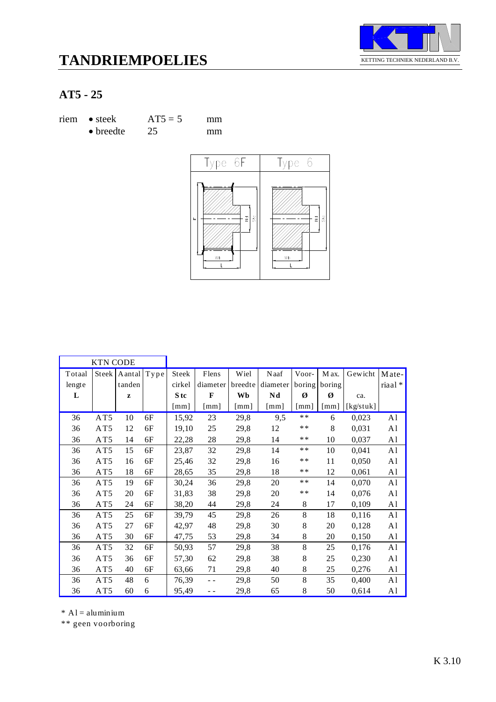



## **AT5 - 25**

| riem • steek      | $AT5 = 5$ | mm |
|-------------------|-----------|----|
| $\bullet$ breedte | 25        | mm |



|                  | <b>KTN CODE</b> |                  |      |                 |                      |                 |                      |                    |                           |           |                  |
|------------------|-----------------|------------------|------|-----------------|----------------------|-----------------|----------------------|--------------------|---------------------------|-----------|------------------|
| Totaal<br>lengte | Steek           | Aantal<br>tanden | Type | Steek<br>cirkel | Flens<br>diameter    | Wiel<br>breedte | Naaf<br>diameter     | Voor-<br>boring    | M ax.<br>boring           | Gewicht   | Mate-<br>riaal * |
| L                |                 | z                |      | S tc            | $\mathbf{F}$         | Wb              | Nd                   | Ø                  | Ø                         | ca.       |                  |
|                  |                 |                  |      | [mm]            | $\lceil$ mm $\rceil$ | [mm]            | $\lceil$ mm $\rceil$ | $\lceil mm \rceil$ | $\lceil \text{mm} \rceil$ | [kg/stuk] |                  |
| 36               | AT5             | 10               | 6F   | 15,92           | 23                   | 29,8            | 9,5                  | $**$               | 6                         | 0,023     | A1               |
| 36               | AT5             | 12               | 6F   | 19,10           | 25                   | 29,8            | 12                   | $**$               | 8                         | 0,031     | A <sub>1</sub>   |
| 36               | AT5             | 14               | 6F   | 22,28           | 28                   | 29,8            | 14                   | **                 | 10                        | 0,037     | A1               |
| 36               | AT5             | 15               | 6F   | 23,87           | 32                   | 29,8            | 14                   | $**$               | 10                        | 0,041     | A1               |
| 36               | AT5             | 16               | 6F   | 25,46           | 32                   | 29,8            | 16                   | $**$               | 11                        | 0,050     | A <sub>1</sub>   |
| 36               | AT5             | 18               | 6F   | 28,65           | 35                   | 29,8            | 18                   | **                 | 12                        | 0,061     | A <sub>1</sub>   |
| 36               | AT5             | 19               | 6F   | 30,24           | 36                   | 29,8            | 20                   | $**$               | 14                        | 0,070     | A1               |
| 36               | AT5             | 20               | 6F   | 31,83           | 38                   | 29,8            | 20                   | $**$               | 14                        | 0,076     | A <sub>1</sub>   |
| 36               | AT5             | 24               | 6F   | 38,20           | 44                   | 29,8            | 24                   | 8                  | 17                        | 0,109     | A <sub>1</sub>   |
| 36               | AT5             | 25               | 6F   | 39,79           | 45                   | 29,8            | 26                   | 8                  | 18                        | 0,116     | A1               |
| 36               | AT5             | 27               | 6F   | 42,97           | 48                   | 29,8            | 30                   | 8                  | 20                        | 0,128     | A <sub>1</sub>   |
| 36               | AT5             | 30               | 6F   | 47,75           | 53                   | 29,8            | 34                   | 8                  | 20                        | 0,150     | A <sub>1</sub>   |
| 36               | AT5             | 32               | 6F   | 50,93           | 57                   | 29,8            | 38                   | 8                  | 25                        | 0,176     | A <sub>1</sub>   |
| 36               | AT5             | 36               | 6F   | 57,30           | 62                   | 29,8            | 38                   | 8                  | 25                        | 0,230     | A1               |
| 36               | AT5             | 40               | 6F   | 63,66           | 71                   | 29,8            | 40                   | 8                  | 25                        | 0,276     | A <sub>1</sub>   |
| 36               | AT5             | 48               | 6    | 76,39           |                      | 29,8            | 50                   | 8                  | 35                        | 0,400     | A <sub>1</sub>   |
| 36               | AT5             | 60               | 6    | 95,49           | - -                  | 29,8            | 65                   | 8                  | 50                        | 0,614     | A <sub>1</sub>   |

 $*$  A l = aluminium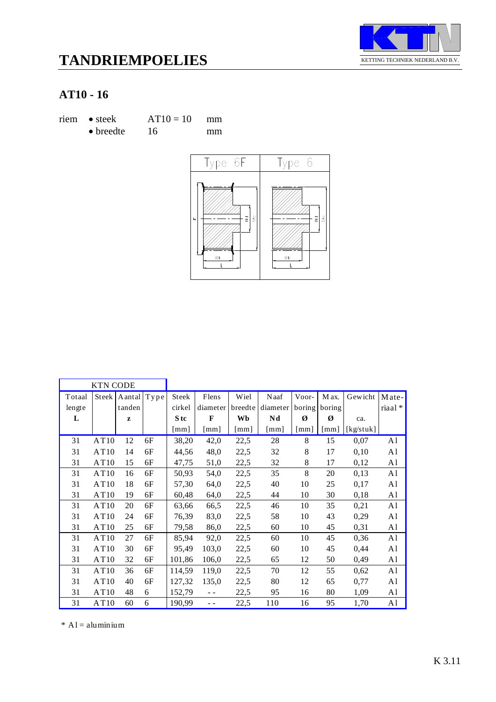



| riem • steek      | $AT10 = 10$ | mm |
|-------------------|-------------|----|
| $\bullet$ breedte | 16          | mm |



|        | <b>KTN CODE</b> |        |      |        |               |                      |                      |        |        |           |                |
|--------|-----------------|--------|------|--------|---------------|----------------------|----------------------|--------|--------|-----------|----------------|
| Totaal | Steek           | Aantal | Type | Steek  | Flens         | Wiel                 | Naaf                 | Voor-  | M ax.  | Gewicht   | Mate-          |
| lengte |                 | tanden |      | cirkel | diameter      | breedte              | diameter             | boring | boring |           | riaal*         |
| L      |                 | z      |      | S tc   | F             | Wb                   | Nd                   | Ø      | Ø      | ca.       |                |
|        |                 |        |      | [mm]   | [mm]          | $\lceil$ mm $\rceil$ | $\lceil$ mm $\rceil$ | [mm]   | [mm]   | [kg/stuk] |                |
| 31     | AT10            | 12     | 6F   | 38,20  | 42,0          | 22,5                 | 28                   | 8      | 15     | 0,07      | A1             |
| 31     | AT10            | 14     | 6F   | 44,56  | 48,0          | 22,5                 | 32                   | 8      | 17     | 0,10      | A <sub>1</sub> |
| 31     | AT10            | 15     | 6F   | 47,75  | 51,0          | 22,5                 | 32                   | 8      | 17     | 0,12      | A <sub>1</sub> |
| 31     | AT10            | 16     | 6F   | 50,93  | 54,0          | 22,5                 | 35                   | 8      | 20     | 0,13      | A1             |
| 31     | AT10            | 18     | 6F   | 57,30  | 64,0          | 22,5                 | 40                   | 10     | 25     | 0,17      | A <sub>1</sub> |
| 31     | AT10            | 19     | 6F   | 60,48  | 64,0          | 22,5                 | 44                   | 10     | 30     | 0,18      | A <sub>1</sub> |
| 31     | AT10            | 20     | 6F   | 63,66  | 66,5          | 22,5                 | 46                   | 10     | 35     | 0,21      | A <sub>1</sub> |
| 31     | AT10            | 24     | 6F   | 76,39  | 83,0          | 22,5                 | 58                   | 10     | 43     | 0,29      | A1             |
| 31     | AT10            | 25     | 6F   | 79,58  | 86,0          | 22,5                 | 60                   | 10     | 45     | 0,31      | A <sub>1</sub> |
| 31     | AT10            | 27     | 6F   | 85,94  | 92,0          | 22,5                 | 60                   | 10     | 45     | 0,36      | A1             |
| 31     | AT10            | 30     | 6F   | 95,49  | 103,0         | 22,5                 | 60                   | 10     | 45     | 0,44      | A1             |
| 31     | AT10            | 32     | 6F   | 101,86 | 106,0         | 22,5                 | 65                   | 12     | 50     | 0,49      | A <sub>1</sub> |
| 31     | AT10            | 36     | 6F   | 114,59 | 119,0         | 22,5                 | 70                   | 12     | 55     | 0,62      | A <sub>1</sub> |
| 31     | AT10            | 40     | 6F   | 127,32 | 135,0         | 22,5                 | 80                   | 12     | 65     | 0,77      | A <sub>1</sub> |
| 31     | AT10            | 48     | 6    | 152,79 |               | 22,5                 | 95                   | 16     | 80     | 1,09      | A1             |
| 31     | AT10            | 60     | 6    | 190,99 | $\sim$ $\sim$ | 22,5                 | 110                  | 16     | 95     | 1,70      | A <sub>1</sub> |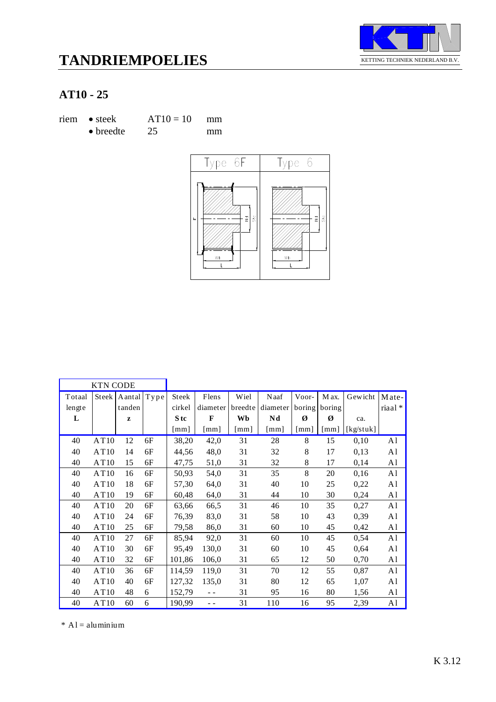



| riem • steek      | $AT10 = 10$ | mm |
|-------------------|-------------|----|
| $\bullet$ breedte | 25          | mm |



|        | <b>KTN CODE</b> |             |    |                      |              |         |          |                    |                    |           |                |
|--------|-----------------|-------------|----|----------------------|--------------|---------|----------|--------------------|--------------------|-----------|----------------|
| Totaal | Steek           | Aantal Type |    | Steek                | Flens        | Wiel    | Naaf     | Voor-              | M ax.              | Gewicht   | $Mate-$        |
| lengte |                 | tanden      |    | cirkel               | diameter     | breedte | diameter | boring             | boring             |           | riaal *        |
| L      |                 | z           |    | S tc                 | $\mathbf{F}$ | Wb      | Nd       | Ø                  | Ø                  | ca.       |                |
|        |                 |             |    | $\lceil$ mm $\rceil$ | $\lceil$ mm] | [mm]    | [mm]     | $\lceil mm \rceil$ | $\lceil mm \rceil$ | [kg/stuk] |                |
| 40     | AT10            | 12          | 6F | 38,20                | 42,0         | 31      | 28       | 8                  | 15                 | 0,10      | A1             |
| 40     | AT10            | 14          | 6F | 44,56                | 48,0         | 31      | 32       | 8                  | 17                 | 0,13      | A1             |
| 40     | AT10            | 15          | 6F | 47,75                | 51,0         | 31      | 32       | 8                  | 17                 | 0,14      | A <sub>1</sub> |
| 40     | AT10            | 16          | 6F | 50,93                | 54,0         | 31      | 35       | 8                  | 20                 | 0,16      | A1             |
| 40     | AT10            | 18          | 6F | 57,30                | 64,0         | 31      | 40       | 10                 | 25                 | 0,22      | A <sub>1</sub> |
| 40     | AT10            | 19          | 6F | 60,48                | 64,0         | 31      | 44       | 10                 | 30                 | 0,24      | A <sub>1</sub> |
| 40     | AT10            | 20          | 6F | 63,66                | 66,5         | 31      | 46       | 10                 | 35                 | 0,27      | A1             |
| 40     | AT10            | 24          | 6F | 76,39                | 83,0         | 31      | 58       | 10                 | 43                 | 0,39      | A <sub>1</sub> |
| 40     | AT10            | 25          | 6F | 79,58                | 86,0         | 31      | 60       | 10                 | 45                 | 0,42      | A1             |
| 40     | AT10            | 27          | 6F | 85,94                | 92,0         | 31      | 60       | 10                 | 45                 | 0,54      | A <sub>1</sub> |
| 40     | AT10            | 30          | 6F | 95,49                | 130,0        | 31      | 60       | 10                 | 45                 | 0.64      | A <sub>1</sub> |
| 40     | AT10            | 32          | 6F | 101,86               | 106,0        | 31      | 65       | 12                 | 50                 | 0,70      | A1             |
| 40     | AT10            | 36          | 6F | 114,59               | 119,0        | 31      | 70       | 12                 | 55                 | 0,87      | A1             |
| 40     | AT10            | 40          | 6F | 127,32               | 135,0        | 31      | 80       | 12                 | 65                 | 1,07      | A1             |
| 40     | AT10            | 48          | 6  | 152,79               |              | 31      | 95       | 16                 | 80                 | 1,56      | A1             |
| 40     | AT10            | 60          | 6  | 190,99               | - -          | 31      | 110      | 16                 | 95                 | 2,39      | A1             |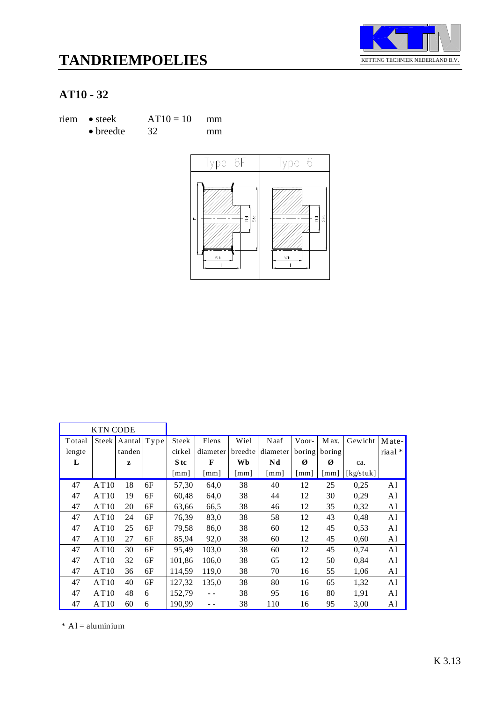



| riem • steek      | $AT10 = 10$ | mm |  |
|-------------------|-------------|----|--|
| $\bullet$ breedte | 32          | mm |  |



|        | <b>KTN CODE</b> |             |    |                      |                           |         |                      |        |                    |           |                |
|--------|-----------------|-------------|----|----------------------|---------------------------|---------|----------------------|--------|--------------------|-----------|----------------|
| Totaal | Steek           | Aantal Type |    | Steek                | Flens                     | Wiel    | Naaf                 | Voor-  | M ax.              | Gewicht   | Mate-          |
| lengte |                 | tanden      |    | cirkel               | diameter                  | breedte | diameter             | boring | boring             |           | riaal*         |
| L      |                 | Z           |    | S tc                 | F                         | Wb      | Nd                   | Ø      | Ø                  | ca.       |                |
|        |                 |             |    | $\lceil$ mm $\rceil$ | $\lceil \text{mm} \rceil$ | [mm]    | $\lceil$ mm $\rceil$ | [mm]   | $\lceil mm \rceil$ | [kg/stuk] |                |
| 47     | AT10            | 18          | 6F | 57,30                | 64,0                      | 38      | 40                   | 12     | 25                 | 0,25      | A1             |
| 47     | AT10            | 19          | 6F | 60,48                | 64,0                      | 38      | 44                   | 12     | 30                 | 0.29      | A1             |
| 47     | AT10            | 20          | 6F | 63,66                | 66,5                      | 38      | 46                   | 12     | 35                 | 0,32      | A1             |
| 47     | AT10            | 24          | 6F | 76,39                | 83,0                      | 38      | 58                   | 12     | 43                 | 0,48      | A1             |
| 47     | AT10            | 25          | 6F | 79,58                | 86,0                      | 38      | 60                   | 12     | 45                 | 0,53      | A <sub>1</sub> |
| 47     | AT10            | 27          | 6F | 85,94                | 92,0                      | 38      | 60                   | 12     | 45                 | 0.60      | A1             |
| 47     | AT10            | 30          | 6F | 95,49                | 103,0                     | 38      | 60                   | 12     | 45                 | 0,74      | A1             |
| 47     | AT10            | 32          | 6F | 101,86               | 106,0                     | 38      | 65                   | 12     | 50                 | 0,84      | A1             |
| 47     | AT10            | 36          | 6F | 114,59               | 119,0                     | 38      | 70                   | 16     | 55                 | 1,06      | A1             |
| 47     | AT10            | 40          | 6F | 127,32               | 135,0                     | 38      | 80                   | 16     | 65                 | 1,32      | A1             |
| 47     | AT10            | 48          | 6  | 152,79               |                           | 38      | 95                   | 16     | 80                 | 1,91      | A1             |
| 47     | AT10            | 60          | 6  | 190,99               |                           | 38      | 110                  | 16     | 95                 | 3,00      | A1             |